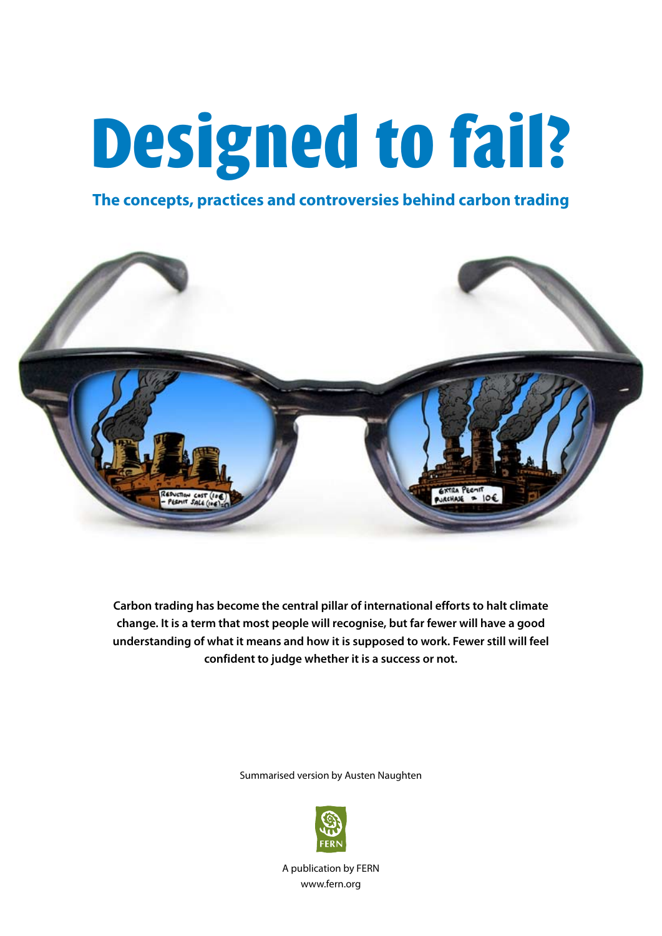# Designed to fail?

## **The concepts, practices and controversies behind carbon trading**



**Carbon trading has become the central pillar of international efforts to halt climate change. It is a term that most people will recognise, but far fewer will have a good understanding of what it means and how it is supposed to work. Fewer still will feel confident to judge whether it is a success or not.**

Summarised version by Austen Naughten



A publication by FERN www.fern.org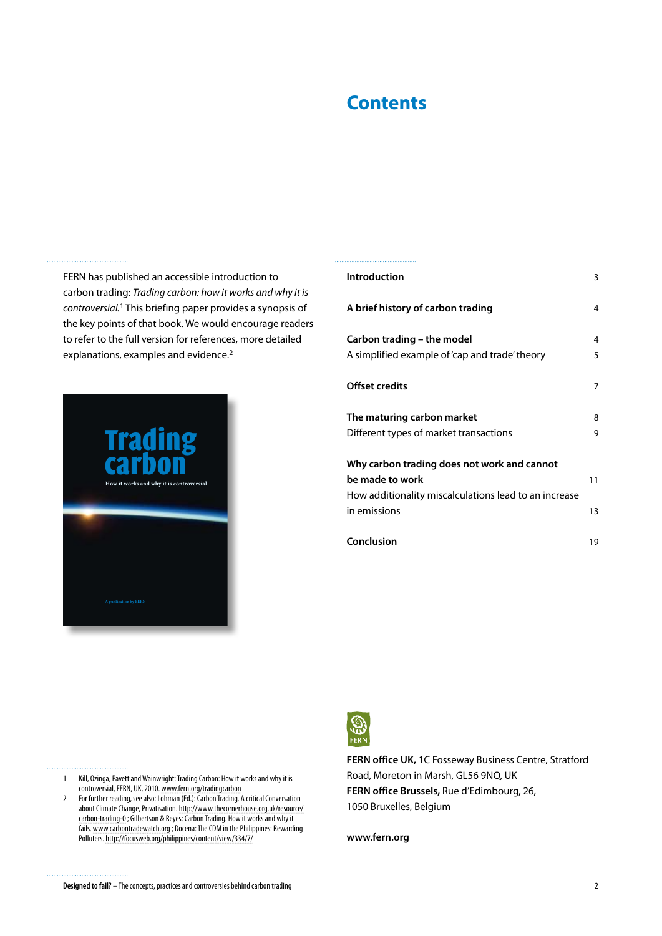# **Contents**

FERN has published an accessible introduction to carbon trading: *Trading carbon: how it works and why it is controversial.*1 This briefing paper provides a synopsis of the key points of that book. We would encourage readers to refer to the full version for references, more detailed explanations, examples and evidence.<sup>2</sup>



| <b>Introduction</b>                                                                                                                     | 3        |
|-----------------------------------------------------------------------------------------------------------------------------------------|----------|
| A brief history of carbon trading                                                                                                       | 4        |
| Carbon trading – the model<br>A simplified example of 'cap and trade' theory                                                            | 4<br>5   |
| <b>Offset credits</b>                                                                                                                   | 7        |
| The maturing carbon market<br>Different types of market transactions                                                                    | 8<br>9   |
| Why carbon trading does not work and cannot<br>be made to work<br>How additionality miscalculations lead to an increase<br>in emissions | 11<br>13 |
| Conclusion                                                                                                                              | 19       |



**FERN office UK,** 1C Fosseway Business Centre, Stratford Road, Moreton in Marsh, GL56 9NQ, UK **FERN office Brussels,** Rue d'Edimbourg, 26, 1050 Bruxelles, Belgium

**www.fern.org**

- 1 Kill, Ozinga, Pavett and Wainwright: Trading Carbon: How it works and why it is controversial, FERN, UK, 2010. www.fern.org/tradingcarbon
- 2 For further reading, see also: Lohman (Ed.): Carbon Trading. A critical Conversation about Climate Change, Privatisation. [http://www.thecornerhouse.org.uk/resource/](http://www.thecornerhouse.org.uk/resource/carbon-trading-0) [carbon-trading-0](http://www.thecornerhouse.org.uk/resource/carbon-trading-0) ; Gilbertson & Reyes: Carbon Trading. How it works and why it fails. www.carbontradewatch.org ; Docena: The CDM in the Philippines: Rewarding Polluters. http://focusweb.org/philippines/content/view/334/7/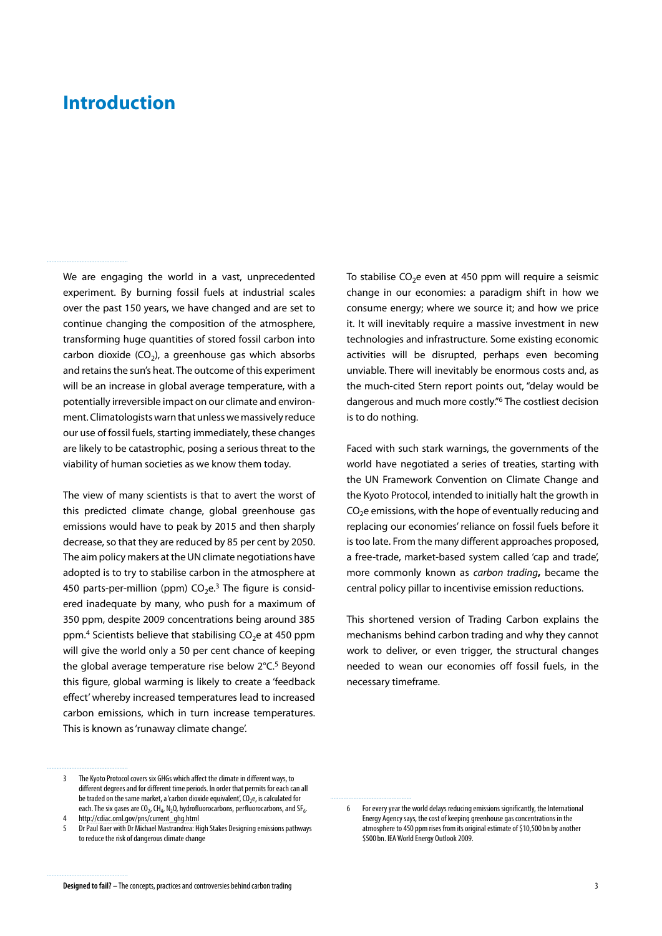# <span id="page-2-0"></span>**Introduction**

We are engaging the world in a vast, unprecedented experiment. By burning fossil fuels at industrial scales over the past 150 years, we have changed and are set to continue changing the composition of the atmosphere, transforming huge quantities of stored fossil carbon into carbon dioxide  $(CO<sub>2</sub>)$ , a greenhouse gas which absorbs and retains the sun's heat. The outcome of this experiment will be an increase in global average temperature, with a potentially irreversible impact on our climate and environment. Climatologists warn that unless we massively reduce our use of fossil fuels, starting immediately, these changes are likely to be catastrophic, posing a serious threat to the viability of human societies as we know them today.

The view of many scientists is that to avert the worst of this predicted climate change, global greenhouse gas emissions would have to peak by 2015 and then sharply decrease, so that they are reduced by 85 per cent by 2050. The aim policy makers at the UN climate negotiations have adopted is to try to stabilise carbon in the atmosphere at 450 parts-per-million (ppm)  $CO<sub>2</sub>e<sup>3</sup>$  The figure is considered inadequate by many, who push for a maximum of 350 ppm, despite 2009 concentrations being around 385 ppm.<sup>4</sup> Scientists believe that stabilising  $CO<sub>2</sub>e$  at 450 ppm will give the world only a 50 per cent chance of keeping the global average temperature rise below 2°C.<sup>5</sup> Beyond this figure, global warming is likely to create a 'feedback effect' whereby increased temperatures lead to increased carbon emissions, which in turn increase temperatures. This is known as 'runaway climate change'.

3 The Kyoto Protocol covers six GHGs which affect the climate in different ways, to different degrees and for different time periods. In order that permits for each can all be traded on the same market, a 'carbon dioxide equivalent',  $CO<sub>2</sub>e$ , is calculated for each. The six gases are  $CO_2$ , CH<sub>4</sub>, N<sub>2</sub>O, hydrofluorocarbons, perfluorocarbons, and SF<sub>6</sub>.

http://cdiac.ornl.gov/pns/current\_ghg.html

To stabilise  $CO<sub>2</sub>e$  even at 450 ppm will require a seismic change in our economies: a paradigm shift in how we consume energy; where we source it; and how we price it. It will inevitably require a massive investment in new technologies and infrastructure. Some existing economic activities will be disrupted, perhaps even becoming unviable. There will inevitably be enormous costs and, as the much-cited Stern report points out, "delay would be dangerous and much more costly."6 The costliest decision is to do nothing.

Faced with such stark warnings, the governments of the world have negotiated a series of treaties, starting with the UN Framework Convention on Climate Change and the Kyoto Protocol, intended to initially halt the growth in  $CO<sub>2</sub>e$  emissions, with the hope of eventually reducing and replacing our economies' reliance on fossil fuels before it is too late. From the many different approaches proposed, a free-trade, market-based system called 'cap and trade', more commonly known as *carbon trading***,** became the central policy pillar to incentivise emission reductions.

This shortened version of Trading Carbon explains the mechanisms behind carbon trading and why they cannot work to deliver, or even trigger, the structural changes needed to wean our economies off fossil fuels, in the necessary timeframe.

<sup>5</sup> Dr Paul Baer with Dr Michael Mastrandrea: High Stakes Designing emissions pathways to reduce the risk of dangerous climate change

<sup>6</sup> For every year the world delays reducing emissions significantly, the International Energy Agency says, the cost of keeping greenhouse gas concentrations in the atmosphere to 450 ppm rises from its original estimate of \$10,500 bn by another \$500bn. IEA World Energy Outlook 2009.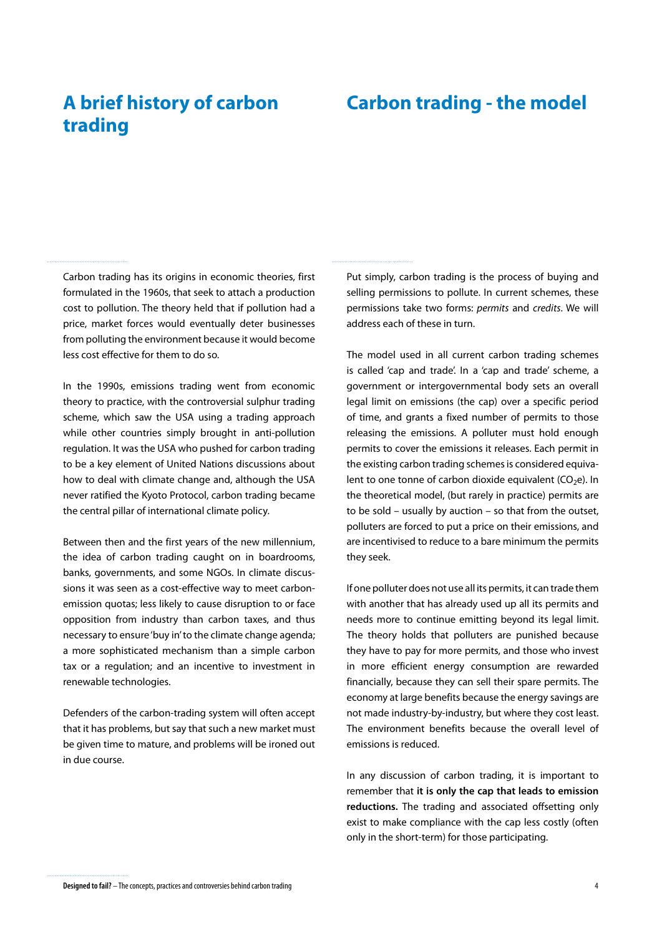# <span id="page-3-0"></span>**A brief history of carbon trading**

# **Carbon trading - the model**

Carbon trading has its origins in economic theories, first formulated in the 1960s, that seek to attach a production cost to pollution. The theory held that if pollution had a price, market forces would eventually deter businesses from polluting the environment because it would become less cost effective for them to do so.

In the 1990s, emissions trading went from economic theory to practice, with the controversial sulphur trading scheme, which saw the USA using a trading approach while other countries simply brought in anti-pollution regulation. It was the USA who pushed for carbon trading to be a key element of United Nations discussions about how to deal with climate change and, although the USA never ratified the Kyoto Protocol, carbon trading became the central pillar of international climate policy.

Between then and the first years of the new millennium, the idea of carbon trading caught on in boardrooms, banks, governments, and some NGOs. In climate discussions it was seen as a cost-effective way to meet carbonemission quotas; less likely to cause disruption to or face opposition from industry than carbon taxes, and thus necessary to ensure 'buy in' to the climate change agenda; a more sophisticated mechanism than a simple carbon tax or a regulation; and an incentive to investment in renewable technologies.

Defenders of the carbon-trading system will often accept that it has problems, but say that such a new market must be given time to mature, and problems will be ironed out in due course.

Put simply, carbon trading is the process of buying and selling permissions to pollute. In current schemes, these permissions take two forms: *permits* and *credits*. We will address each of these in turn.

The model used in all current carbon trading schemes is called 'cap and trade'. In a 'cap and trade' scheme, a government or intergovernmental body sets an overall legal limit on emissions (the cap) over a specific period of time, and grants a fixed number of permits to those releasing the emissions. A polluter must hold enough permits to cover the emissions it releases. Each permit in the existing carbon trading schemes is considered equivalent to one tonne of carbon dioxide equivalent ( $CO<sub>2</sub>e$ ). In the theoretical model, (but rarely in practice) permits are to be sold – usually by auction – so that from the outset, polluters are forced to put a price on their emissions, and are incentivised to reduce to a bare minimum the permits they seek.

If one polluter does not use all its permits, it can trade them with another that has already used up all its permits and needs more to continue emitting beyond its legal limit. The theory holds that polluters are punished because they have to pay for more permits, and those who invest in more efficient energy consumption are rewarded financially, because they can sell their spare permits. The economy at large benefits because the energy savings are not made industry-by-industry, but where they cost least. The environment benefits because the overall level of emissions is reduced.

In any discussion of carbon trading, it is important to remember that **it is only the cap that leads to emission reductions.** The trading and associated offsetting only exist to make compliance with the cap less costly (often only in the short-term) for those participating.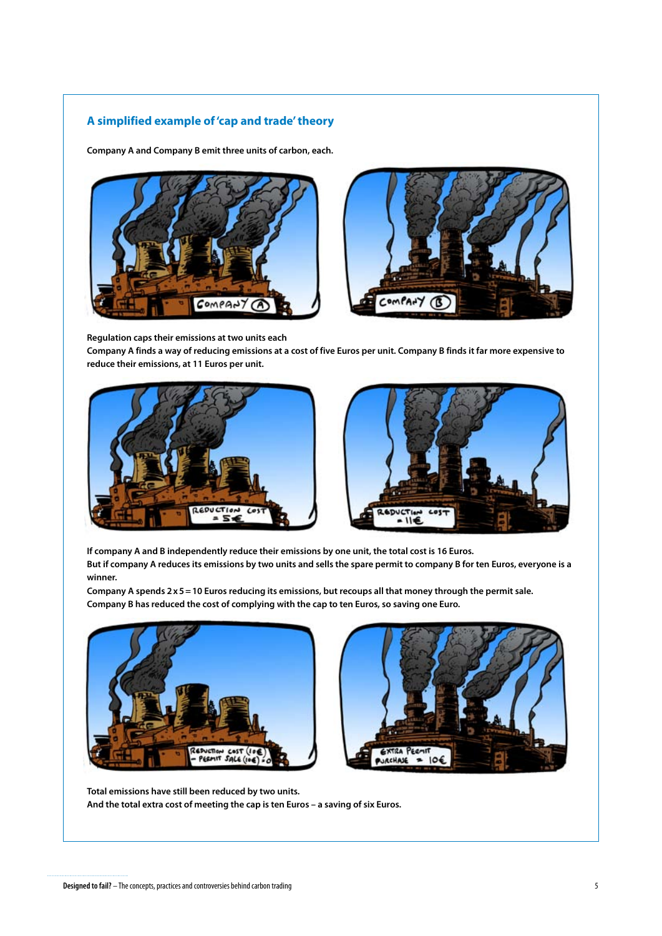## <span id="page-4-0"></span>**A simplified example of 'cap and trade' theory**

**Company A and Company B emit three units of carbon, each.**





**Regulation caps their emissions at two units each**

**Company A finds a way of reducing emissions at a cost of five Euros per unit. Company B finds it far more expensive to reduce their emissions, at 11 Euros per unit.**





**If company A and B independently reduce their emissions by one unit, the total cost is 16 Euros. But if company A reduces its emissions by two units and sells the spare permit to company B for ten Euros, everyone is a winner.** 

**Company A spends 2x5=10 Euros reducing its emissions, but recoups all that money through the permit sale. Company B has reduced the cost of complying with the cap to ten Euros, so saving one Euro.** 





**Total emissions have still been reduced by two units. And the total extra cost of meeting the cap is ten Euros – a saving of six Euros.**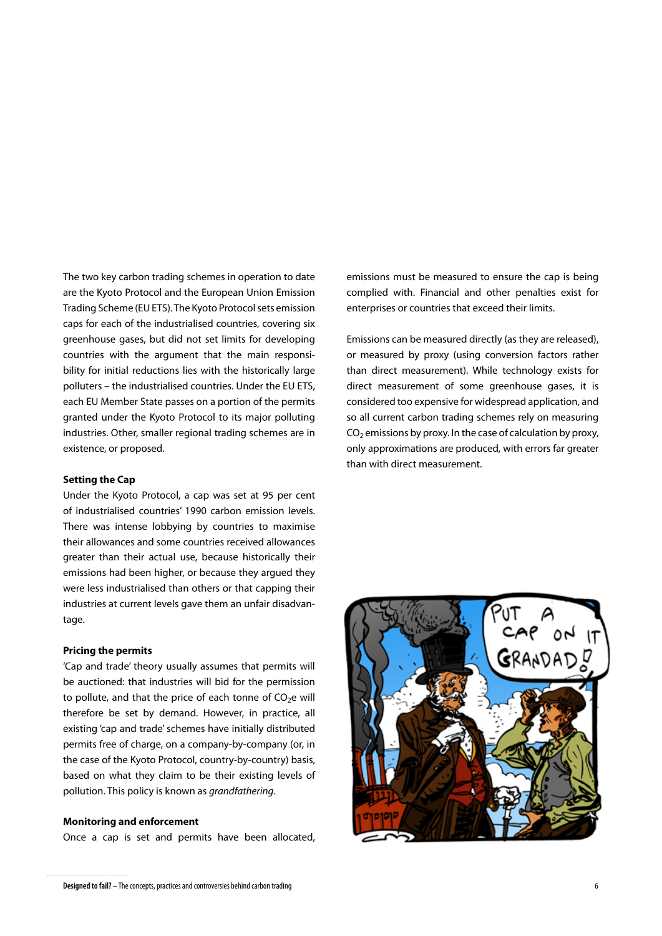The two key carbon trading schemes in operation to date are the Kyoto Protocol and the European Union Emission Trading Scheme (EU ETS). The Kyoto Protocol sets emission caps for each of the industrialised countries, covering six greenhouse gases, but did not set limits for developing countries with the argument that the main responsibility for initial reductions lies with the historically large polluters – the industrialised countries. Under the EU ETS, each EU Member State passes on a portion of the permits granted under the Kyoto Protocol to its major polluting industries. Other, smaller regional trading schemes are in existence, or proposed.

#### **Setting the Cap**

Under the Kyoto Protocol, a cap was set at 95 per cent of industrialised countries' 1990 carbon emission levels. There was intense lobbying by countries to maximise their allowances and some countries received allowances greater than their actual use, because historically their emissions had been higher, or because they argued they were less industrialised than others or that capping their industries at current levels gave them an unfair disadvantage.

#### **Pricing the permits**

'Cap and trade' theory usually assumes that permits will be auctioned: that industries will bid for the permission to pollute, and that the price of each tonne of  $CO<sub>2</sub>e$  will therefore be set by demand. However, in practice, all existing 'cap and trade' schemes have initially distributed permits free of charge, on a company-by-company (or, in the case of the Kyoto Protocol, country-by-country) basis, based on what they claim to be their existing levels of pollution. This policy is known as *grandfathering*.

#### **Monitoring and enforcement**

Once a cap is set and permits have been allocated,

emissions must be measured to ensure the cap is being complied with. Financial and other penalties exist for enterprises or countries that exceed their limits.

Emissions can be measured directly (as they are released), or measured by proxy (using conversion factors rather than direct measurement). While technology exists for direct measurement of some greenhouse gases, it is considered too expensive for widespread application, and so all current carbon trading schemes rely on measuring  $CO<sub>2</sub>$  emissions by proxy. In the case of calculation by proxy, only approximations are produced, with errors far greater than with direct measurement.

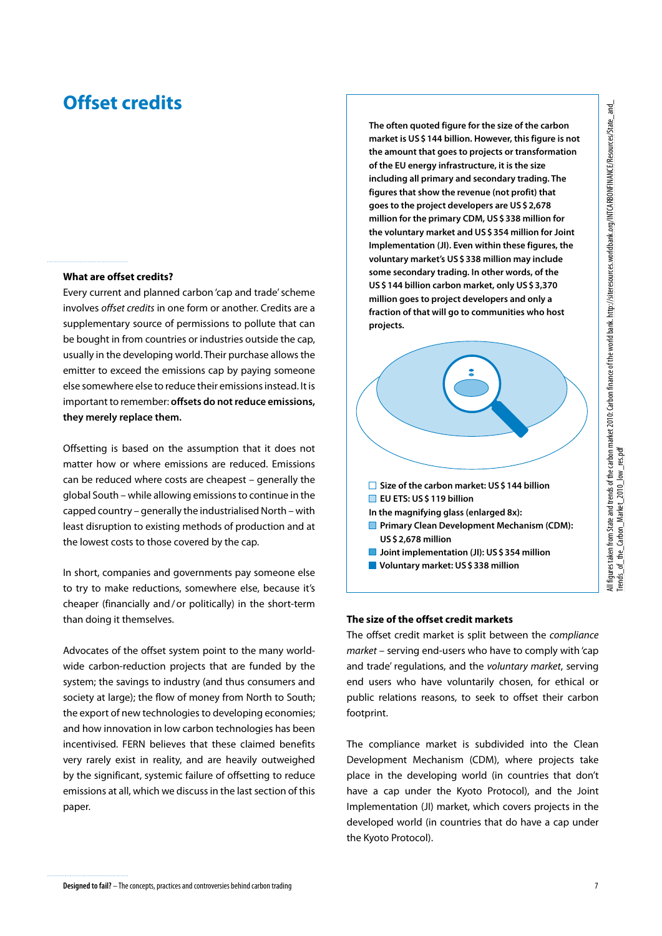# <span id="page-6-0"></span>**Offset credits**

#### **What are offset credits?**

Every current and planned carbon 'cap and trade' scheme involves *offset credits* in one form or another. Credits are a supplementary source of permissions to pollute that can be bought in from countries or industries outside the cap, usually in the developing world. Their purchase allows the emitter to exceed the emissions cap by paying someone else somewhere else to reduce their emissions instead. It is important to remember: **offsets do not reduce emissions, they merely replace them.**

Offsetting is based on the assumption that it does not matter how or where emissions are reduced. Emissions can be reduced where costs are cheapest – generally the global South – while allowing emissions to continue in the capped country – generally the industrialised North – with least disruption to existing methods of production and at the lowest costs to those covered by the cap.

In short, companies and governments pay someone else to try to make reductions, somewhere else, because it's cheaper (financially and/or politically) in the short-term than doing it themselves.

Advocates of the offset system point to the many worldwide carbon-reduction projects that are funded by the system; the savings to industry (and thus consumers and society at large); the flow of money from North to South; the export of new technologies to developing economies; and how innovation in low carbon technologies has been incentivised. FERN believes that these claimed benefits very rarely exist in reality, and are heavily outweighed by the significant, systemic failure of offsetting to reduce emissions at all, which we discuss in the last section of this paper.

**The often quoted figure for the size of the carbon market is US\$144 billion. However, this figure is not the amount that goes to projects or transformation of the EU energy infrastructure, it is the size including all primary and secondary trading. The figures that show the revenue (not profit) that goes to the project developers are US\$2,678 million for the primary CDM, US\$338 million for the voluntary market and US\$354 million for Joint Implementation (JI). Even within these figures, the voluntary market's US\$338 million may include some secondary trading. In other words, of the US\$144 billion carbon market, only US\$3,370 million goes to project developers and only a fraction of that will go to communities who host projects.** 



#### **The size of the offset credit markets**

The offset credit market is split between the *compliance market* – serving end-users who have to comply with 'cap and trade' regulations, and the *voluntary market*, serving end users who have voluntarily chosen, for ethical or public relations reasons, to seek to offset their carbon footprint.

The compliance market is subdivided into the Clean Development Mechanism (CDM), where projects take place in the developing world (in countries that don't have a cap under the Kyoto Protocol), and the Joint Implementation (JI) market, which covers projects in the developed world (in countries that do have a cap under the Kyoto Protocol).

and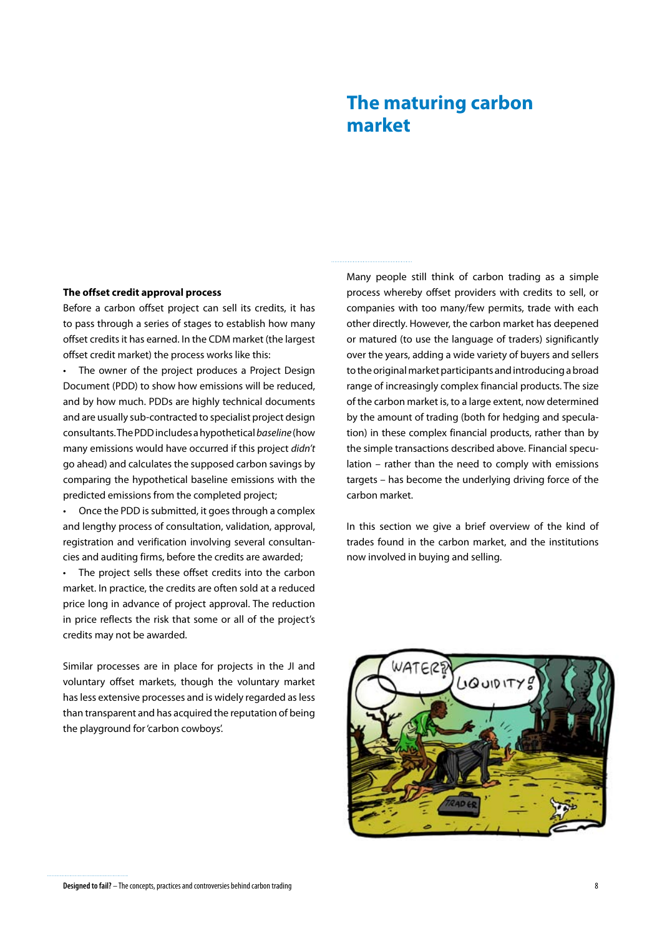# **The maturing carbon market**

#### <span id="page-7-0"></span>**The offset credit approval process**

Before a carbon offset project can sell its credits, it has to pass through a series of stages to establish how many offset credits it has earned. In the CDM market (the largest offset credit market) the process works like this:

• The owner of the project produces a Project Design Document (PDD) to show how emissions will be reduced, and by how much. PDDs are highly technical documents and are usually sub-contracted to specialist project design consultants. The PDD includes a hypothetical *baseline* (how many emissions would have occurred if this project *didn't* go ahead) and calculates the supposed carbon savings by comparing the hypothetical baseline emissions with the predicted emissions from the completed project;

Once the PDD is submitted, it goes through a complex and lengthy process of consultation, validation, approval, registration and verification involving several consultancies and auditing firms, before the credits are awarded;

The project sells these offset credits into the carbon market. In practice, the credits are often sold at a reduced price long in advance of project approval. The reduction in price reflects the risk that some or all of the project's credits may not be awarded.

Similar processes are in place for projects in the JI and voluntary offset markets, though the voluntary market has less extensive processes and is widely regarded as less than transparent and has acquired the reputation of being the playground for 'carbon cowboys'.

Many people still think of carbon trading as a simple process whereby offset providers with credits to sell, or companies with too many/few permits, trade with each other directly. However, the carbon market has deepened or matured (to use the language of traders) significantly over the years, adding a wide variety of buyers and sellers to the original market participants and introducing a broad range of increasingly complex financial products. The size of the carbon market is, to a large extent, now determined by the amount of trading (both for hedging and speculation) in these complex financial products, rather than by the simple transactions described above. Financial speculation – rather than the need to comply with emissions targets – has become the underlying driving force of the carbon market.

In this section we give a brief overview of the kind of trades found in the carbon market, and the institutions now involved in buying and selling.

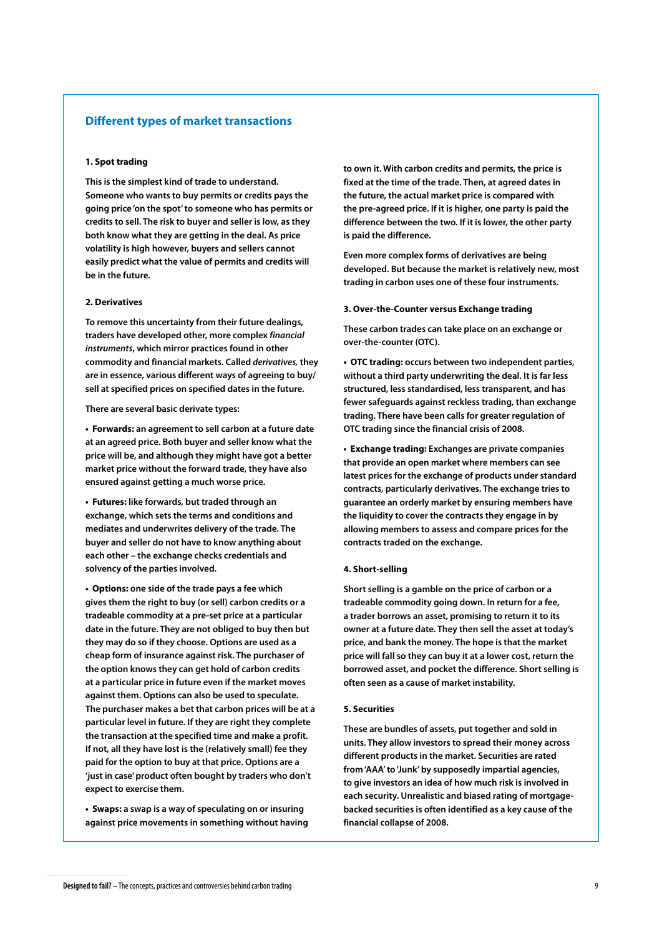#### <span id="page-8-0"></span>**Different types of market transactions**

#### **1. Spot trading**

**This is the simplest kind of trade to understand. Someone who wants to buy permits or credits pays the going price 'on the spot' to someone who has permits or credits to sell. The risk to buyer and seller is low, as they both know what they are getting in the deal. As price volatility is high however, buyers and sellers cannot easily predict what the value of permits and credits will be in the future.** 

#### **2. Derivatives**

**To remove this uncertainty from their future dealings, traders have developed other, more complex** *financial instruments***, which mirror practices found in other commodity and financial markets. Called** *derivatives,* **they are in essence, various different ways of agreeing to buy/ sell at specified prices on specified dates in the future.** 

**There are several basic derivate types:** 

**• Forwards: an agreement to sell carbon at a future date at an agreed price. Both buyer and seller know what the price will be, and although they might have got a better market price without the forward trade, they have also ensured against getting a much worse price.**

**• Futures: like forwards, but traded through an exchange, which sets the terms and conditions and mediates and underwrites delivery of the trade. The buyer and seller do not have to know anything about each other – the exchange checks credentials and solvency of the parties involved.**

**• Options: one side of the trade pays a fee which gives them the right to buy (or sell) carbon credits or a tradeable commodity at a pre-set price at a particular date in the future. They are not obliged to buy then but they may do so if they choose. Options are used as a cheap form of insurance against risk. The purchaser of the option knows they can get hold of carbon credits at a particular price in future even if the market moves against them. Options can also be used to speculate. The purchaser makes a bet that carbon prices will be at a particular level in future. If they are right they complete the transaction at the specified time and make a profit. If not, all they have lost is the (relatively small) fee they paid for the option to buy at that price. Options are a 'just in case' product often bought by traders who don't expect to exercise them.** 

**• Swaps: a swap is a way of speculating on or insuring against price movements in something without having**

**to own it. With carbon credits and permits, the price is fixed at the time of the trade. Then, at agreed dates in the future, the actual market price is compared with the pre-agreed price. If it is higher, one party is paid the difference between the two. If it is lower, the other party is paid the difference.**

**Even more complex forms of derivatives are being developed. But because the market is relatively new, most trading in carbon uses one of these four instruments.** 

#### **3. Over-the-Counter versus Exchange trading**

**These carbon trades can take place on an exchange or over-the-counter (OTC).** 

**• OTC trading: occurs between two independent parties, without a third party underwriting the deal. It is far less structured, less standardised, less transparent, and has fewer safeguards against reckless trading, than exchange trading. There have been calls for greater regulation of OTC trading since the financial crisis of 2008.**

**• Exchange trading: Exchanges are private companies that provide an open market where members can see latest prices for the exchange of products under standard contracts, particularly derivatives. The exchange tries to guarantee an orderly market by ensuring members have the liquidity to cover the contracts they engage in by allowing members to assess and compare prices for the contracts traded on the exchange.**

#### **4. Short-selling**

**Short selling is a gamble on the price of carbon or a tradeable commodity going down. In return for a fee, a trader borrows an asset, promising to return it to its owner at a future date. They then sell the asset at today's price, and bank the money. The hope is that the market price will fall so they can buy it at a lower cost, return the borrowed asset, and pocket the difference. Short selling is often seen as a cause of market instability.**

#### **5. Securities**

**These are bundles of assets, put together and sold in units. They allow investors to spread their money across different products in the market. Securities are rated from 'AAA' to 'Junk' by supposedly impartial agencies, to give investors an idea of how much risk is involved in each security. Unrealistic and biased rating of mortgagebacked securities is often identified as a key cause of the financial collapse of 2008.**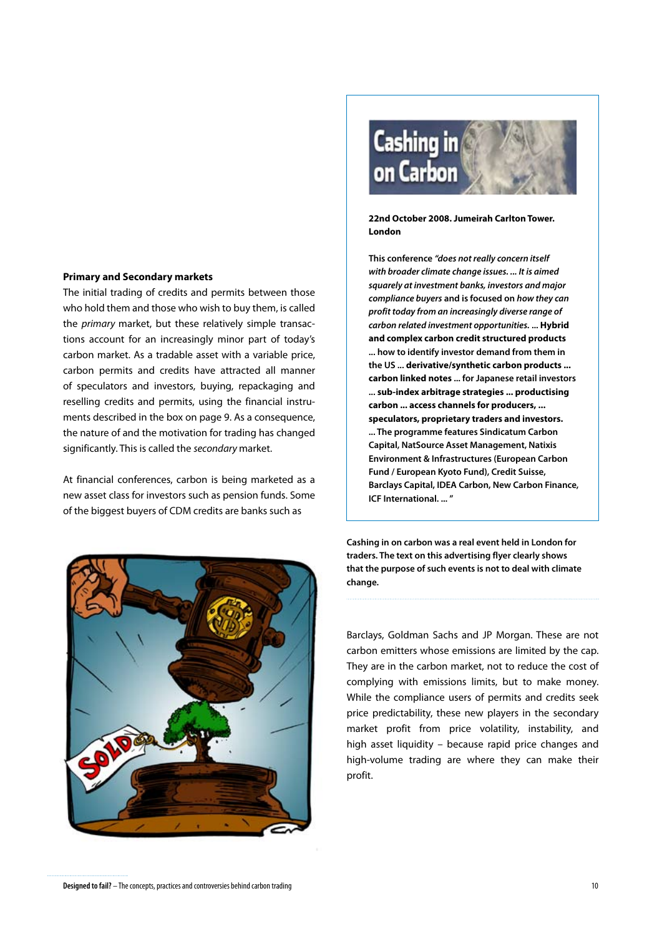#### **Primary and Secondary markets**

The initial trading of credits and permits between those who hold them and those who wish to buy them, is called the *primary* market, but these relatively simple transactions account for an increasingly minor part of today's carbon market. As a tradable asset with a variable price, carbon permits and credits have attracted all manner of speculators and investors, buying, repackaging and reselling credits and permits, using the financial instruments described in the box on page 9. As a consequence, the nature of and the motivation for trading has changed significantly. This is called the *secondary* market.

At financial conferences, carbon is being marketed as a new asset class for investors such as pension funds. Some of the biggest buyers of CDM credits are banks such as





#### **22nd October 2008. Jumeirah Carlton Tower. London**

**This conference** *"does not really concern itself with broader climate change issues. ... It is aimed squarely at investment banks, investors and major compliance buyers* **and is focused on** *how they can profit today from an increasingly diverse range of carbon related investment opportunities.* **... Hybrid and complex carbon credit structured products ... how to identify investor demand from them in the US ... derivative/synthetic carbon products ... carbon linked notes ... for Japanese retail investors ... sub-index arbitrage strategies ... productising carbon ... access channels for producers, ... speculators, proprietary traders and investors. ... The programme features Sindicatum Carbon Capital, NatSource Asset Management, Natixis Environment & Infrastructures (European Carbon Fund / European Kyoto Fund), Credit Suisse, Barclays Capital, IDEA Carbon, New Carbon Finance, ICF International. ... "**

**Cashing in on carbon was a real event held in London for traders. The text on this advertising flyer clearly shows that the purpose of such events is not to deal with climate change.**

Barclays, Goldman Sachs and JP Morgan. These are not carbon emitters whose emissions are limited by the cap. They are in the carbon market, not to reduce the cost of complying with emissions limits, but to make money. While the compliance users of permits and credits seek price predictability, these new players in the secondary market profit from price volatility, instability, and high asset liquidity – because rapid price changes and high-volume trading are where they can make their profit.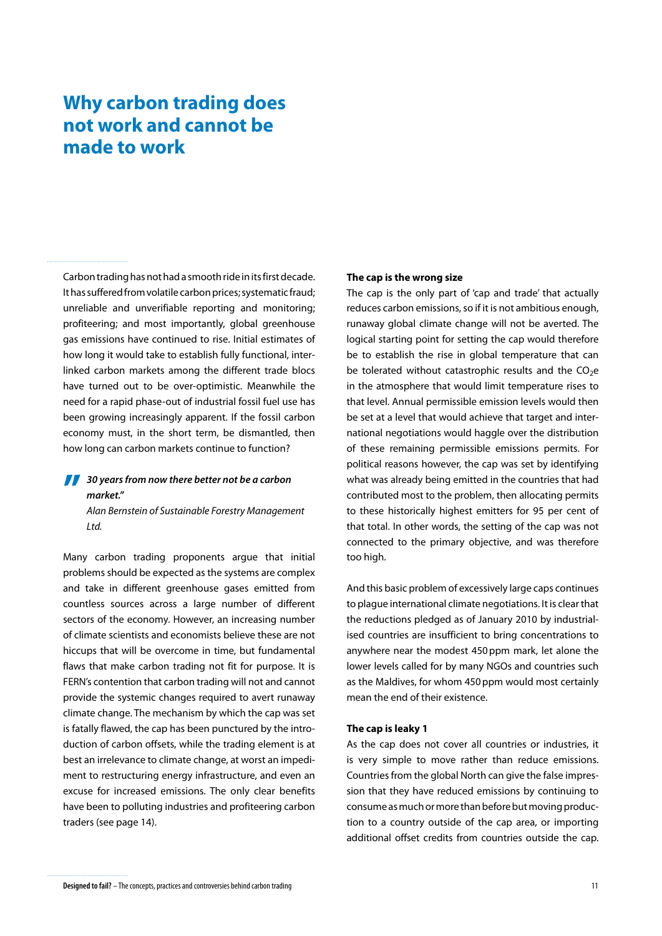# <span id="page-10-0"></span>**Why carbon trading does not work and cannot be made to work**

Carbon trading has not had a smooth ride in its first decade. It has suffered from volatile carbon prices; systematic fraud; unreliable and unverifiable reporting and monitoring; profiteering; and most importantly, global greenhouse gas emissions have continued to rise. Initial estimates of how long it would take to establish fully functional, interlinked carbon markets among the different trade blocs have turned out to be over-optimistic. Meanwhile the need for a rapid phase-out of industrial fossil fuel use has been growing increasingly apparent. If the fossil carbon economy must, in the short term, be dismantled, then how long can carbon markets continue to function?

## **77** 30 years from now there better not be a carbon<br>
market."<br>
Alan Perpetein of Sustainable Ferestry Managemy *market."*

*Alan Bernstein of Sustainable Forestry Management Ltd.*

Many carbon trading proponents argue that initial problems should be expected as the systems are complex and take in different greenhouse gases emitted from countless sources across a large number of different sectors of the economy. However, an increasing number of climate scientists and economists believe these are not hiccups that will be overcome in time, but fundamental flaws that make carbon trading not fit for purpose. It is FERN's contention that carbon trading will not and cannot provide the systemic changes required to avert runaway climate change. The mechanism by which the cap was set is fatally flawed, the cap has been punctured by the introduction of carbon offsets, while the trading element is at best an irrelevance to climate change, at worst an impediment to restructuring energy infrastructure, and even an excuse for increased emissions. The only clear benefits have been to polluting industries and profiteering carbon traders (see page 14).

#### **The cap is the wrong size**

The cap is the only part of 'cap and trade' that actually reduces carbon emissions, so if it is not ambitious enough, runaway global climate change will not be averted. The logical starting point for setting the cap would therefore be to establish the rise in global temperature that can be tolerated without catastrophic results and the  $CO<sub>2</sub>e$ in the atmosphere that would limit temperature rises to that level. Annual permissible emission levels would then be set at a level that would achieve that target and international negotiations would haggle over the distribution of these remaining permissible emissions permits. For political reasons however, the cap was set by identifying what was already being emitted in the countries that had contributed most to the problem, then allocating permits to these historically highest emitters for 95 per cent of that total. In other words, the setting of the cap was not connected to the primary objective, and was therefore too high.

And this basic problem of excessively large caps continues to plague international climate negotiations. It is clear that the reductions pledged as of January 2010 by industrialised countries are insufficient to bring concentrations to anywhere near the modest 450 ppm mark, let alone the lower levels called for by many NGOs and countries such as the Maldives, for whom 450ppm would most certainly mean the end of their existence.

#### **The cap is leaky 1**

As the cap does not cover all countries or industries, it is very simple to move rather than reduce emissions. Countries from the global North can give the false impression that they have reduced emissions by continuing to consume as much or more than before but moving production to a country outside of the cap area, or importing additional offset credits from countries outside the cap.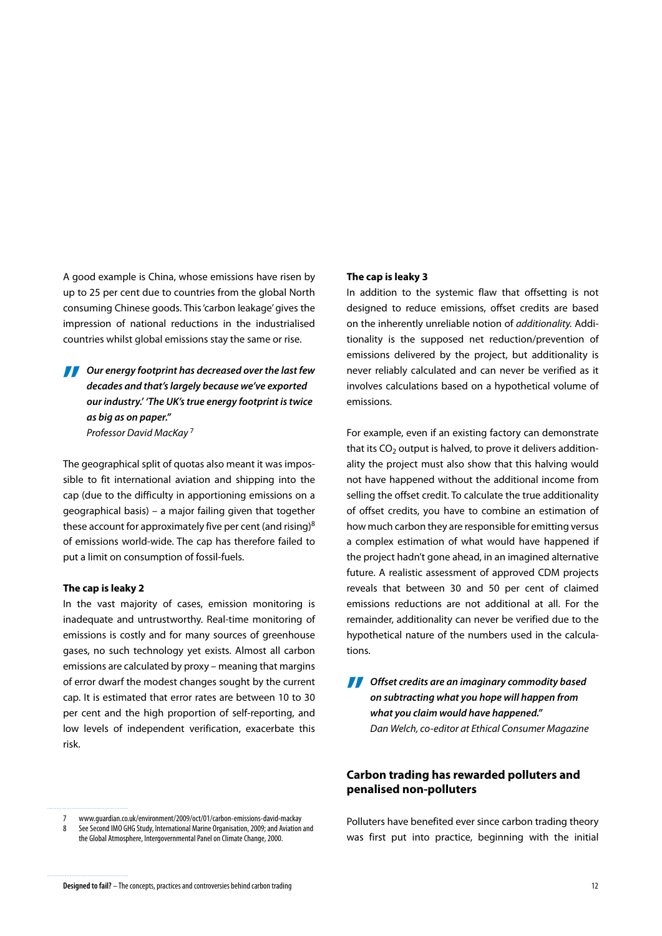A good example is China, whose emissions have risen by up to 25 per cent due to countries from the global North consuming Chinese goods. This 'carbon leakage' gives the impression of national reductions in the industrialised countries whilst global emissions stay the same or rise.

*Our energy footprint has decreased over the last few*  **"***decades and that's largely because we've exported our industry.' 'The UK's true energy footprint is twice as big as on paper." Professor David MacKay* <sup>7</sup>

The geographical split of quotas also meant it was impossible to fit international aviation and shipping into the cap (due to the difficulty in apportioning emissions on a geographical basis) – a major failing given that together these account for approximately five per cent (and rising)8 of emissions world-wide. The cap has therefore failed to put a limit on consumption of fossil-fuels.

#### **The cap is leaky 2**

In the vast majority of cases, emission monitoring is inadequate and untrustworthy. Real-time monitoring of emissions is costly and for many sources of greenhouse gases, no such technology yet exists. Almost all carbon emissions are calculated by proxy – meaning that margins of error dwarf the modest changes sought by the current cap. It is estimated that error rates are between 10 to 30 per cent and the high proportion of self-reporting, and low levels of independent verification, exacerbate this risk.

#### **The cap is leaky 3**

In addition to the systemic flaw that offsetting is not designed to reduce emissions, offset credits are based on the inherently unreliable notion of *additionality.* Additionality is the supposed net reduction/prevention of emissions delivered by the project, but additionality is never reliably calculated and can never be verified as it involves calculations based on a hypothetical volume of emissions.

For example, even if an existing factory can demonstrate that its  $CO<sub>2</sub>$  output is halved, to prove it delivers additionality the project must also show that this halving would not have happened without the additional income from selling the offset credit. To calculate the true additionality of offset credits, you have to combine an estimation of how much carbon they are responsible for emitting versus a complex estimation of what would have happened if the project hadn't gone ahead, in an imagined alternative future. A realistic assessment of approved CDM projects reveals that between 30 and 50 per cent of claimed emissions reductions are not additional at all. For the remainder, additionality can never be verified due to the hypothetical nature of the numbers used in the calculations.

*Offset credits are an imaginary commodity based***<br>
on subtracting what you hope will happen from<br>
what you claim would have happened"** *on subtracting what you hope will happen from what you claim would have happened." Dan Welch, co-editor at Ethical Consumer Magazine*

## **Carbon trading has rewarded polluters and penalised non-polluters**

Polluters have benefited ever since carbon trading theory was first put into practice, beginning with the initial

<sup>7</sup> www.guardian.co.uk/environment/2009/oct/01/carbon-emissions-david-mackay 8 See Second IMO GHG Study, International Marine Organisation, 2009; and Aviation and the Global Atmosphere, Intergovernmental Panel on Climate Change, 2000.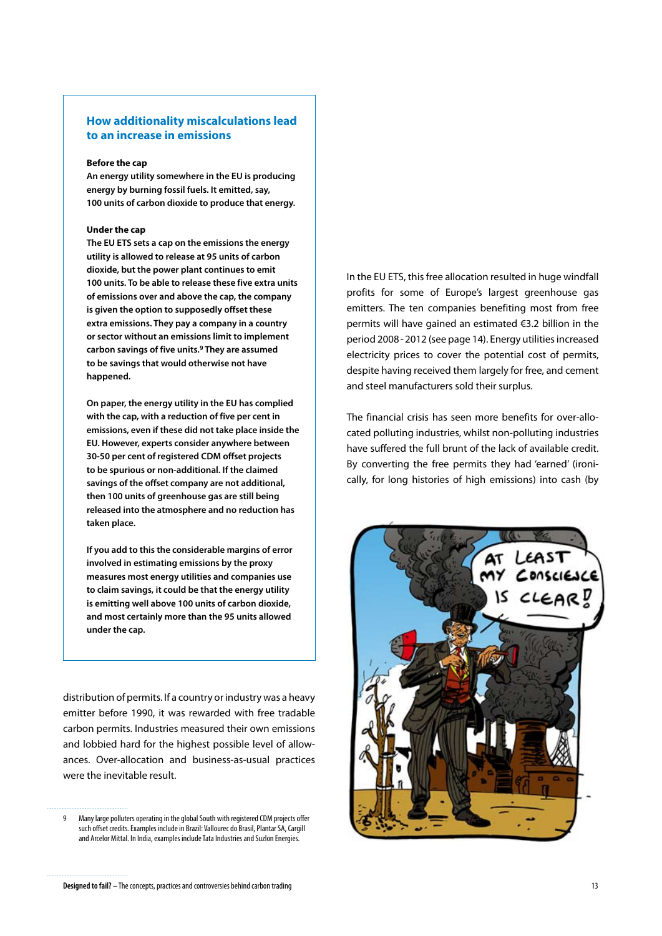### <span id="page-12-0"></span>**How additionality miscalculations lead to an increase in emissions**

#### **Before the cap**

**An energy utility somewhere in the EU is producing energy by burning fossil fuels. It emitted, say, 100 units of carbon dioxide to produce that energy.**

#### **Under the cap**

**The EU ETS sets a cap on the emissions the energy utility is allowed to release at 95 units of carbon dioxide, but the power plant continues to emit 100 units. To be able to release these five extra units of emissions over and above the cap, the company is given the option to supposedly offset these extra emissions. They pay a company in a country or sector without an emissions limit to implement carbon savings of five units.9 They are assumed to be savings that would otherwise not have happened.** 

**On paper, the energy utility in the EU has complied with the cap, with a reduction of five per cent in emissions, even if these did not take place inside the EU. However, experts consider anywhere between 30-50 per cent of registered CDM offset projects to be spurious or non-additional. If the claimed savings of the offset company are not additional, then 100 units of greenhouse gas are still being released into the atmosphere and no reduction has taken place.**

**If you add to this the considerable margins of error involved in estimating emissions by the proxy measures most energy utilities and companies use to claim savings, it could be that the energy utility is emitting well above 100 units of carbon dioxide, and most certainly more than the 95 units allowed under the cap.**

distribution of permits. If a country or industry was a heavy emitter before 1990, it was rewarded with free tradable carbon permits. Industries measured their own emissions and lobbied hard for the highest possible level of allowances. Over-allocation and business-as-usual practices were the inevitable result.

In the EU ETS, this free allocation resulted in huge windfall profits for some of Europe's largest greenhouse gas emitters. The ten companies benefiting most from free permits will have gained an estimated €3.2 billion in the period 2008-2012 (see page 14). Energy utilities increased electricity prices to cover the potential cost of permits, despite having received them largely for free, and cement and steel manufacturers sold their surplus.

The financial crisis has seen more benefits for over-allocated polluting industries, whilst non-polluting industries have suffered the full brunt of the lack of available credit. By converting the free permits they had 'earned' (ironically, for long histories of high emissions) into cash (by



<sup>9</sup> Many large polluters operating in the global South with registered CDM projects offer such offset credits. Examples include in Brazil: Vallourec do Brasil, Plantar SA, Cargill and Arcelor Mittal. In India, examples include Tata Industries and Suzlon Energies.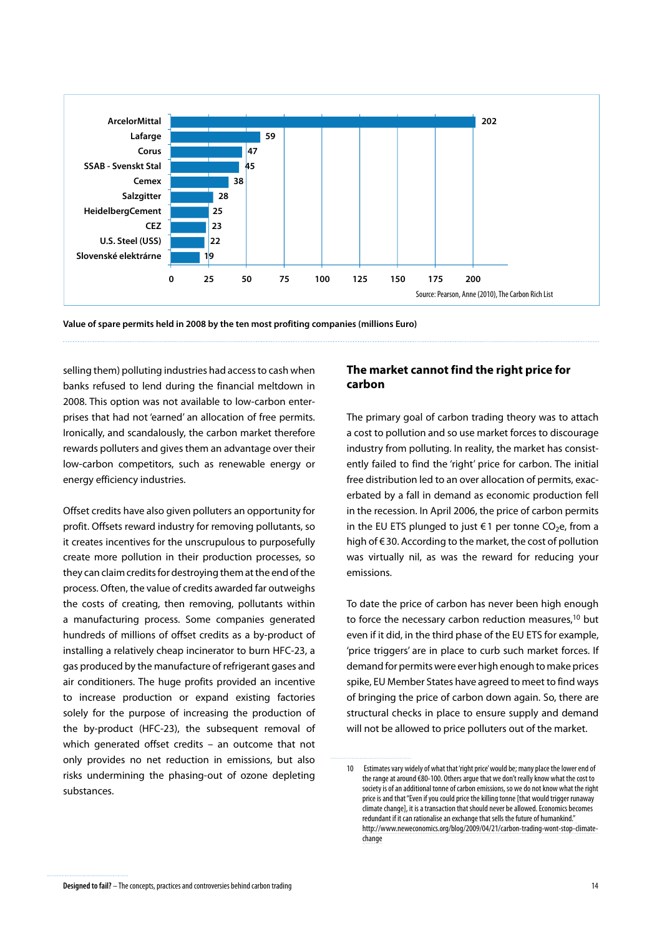

**Value of spare permits held in 2008 by the ten most profiting companies (millions Euro)**

selling them) polluting industries had access to cash when banks refused to lend during the financial meltdown in 2008. This option was not available to low-carbon enterprises that had not 'earned' an allocation of free permits. Ironically, and scandalously, the carbon market therefore rewards polluters and gives them an advantage over their low-carbon competitors, such as renewable energy or energy efficiency industries.

Offset credits have also given polluters an opportunity for profit. Offsets reward industry for removing pollutants, so it creates incentives for the unscrupulous to purposefully create more pollution in their production processes, so they can claim credits for destroying them at the end of the process. Often, the value of credits awarded far outweighs the costs of creating, then removing, pollutants within a manufacturing process. Some companies generated hundreds of millions of offset credits as a by-product of installing a relatively cheap incinerator to burn HFC-23, a gas produced by the manufacture of refrigerant gases and air conditioners. The huge profits provided an incentive to increase production or expand existing factories solely for the purpose of increasing the production of the by-product (HFC-23), the subsequent removal of which generated offset credits – an outcome that not only provides no net reduction in emissions, but also risks undermining the phasing-out of ozone depleting substances.

## **The market cannot find the right price for carbon**

The primary goal of carbon trading theory was to attach a cost to pollution and so use market forces to discourage industry from polluting. In reality, the market has consistently failed to find the 'right' price for carbon. The initial free distribution led to an over allocation of permits, exacerbated by a fall in demand as economic production fell in the recession. In April 2006, the price of carbon permits in the EU ETS plunged to just €1 per tonne CO<sub>2</sub>e, from a high of €30. According to the market, the cost of pollution was virtually nil, as was the reward for reducing your emissions.

To date the price of carbon has never been high enough to force the necessary carbon reduction measures,<sup>10</sup> but even if it did, in the third phase of the EU ETS for example, 'price triggers' are in place to curb such market forces. If demand for permits were ever high enough to make prices spike, EU Member States have agreed to meet to find ways of bringing the price of carbon down again. So, there are structural checks in place to ensure supply and demand will not be allowed to price polluters out of the market.

<sup>10</sup> Estimates vary widely of what that 'right price' would be; many place the lower end of the range at around €80-100. Others argue that we don't really know what the cost to society is of an additional tonne of carbon emissions, so we do not know what the right price is and that "Even if you could price the killing tonne [that would trigger runaway climate change], it is a transaction that should never be allowed. Economics becomes redundant if it can rationalise an exchange that sells the future of humankind.["]( http://www.neweconomics.org/blog/2009/04/21/carbon-trading-wont-stop-climate-change) [http://www.neweconomics.org/blog/2009/04/21/carbon-trading-wont-stop-climate]( http://www.neweconomics.org/blog/2009/04/21/carbon-trading-wont-stop-climate-change)[change]( http://www.neweconomics.org/blog/2009/04/21/carbon-trading-wont-stop-climate-change)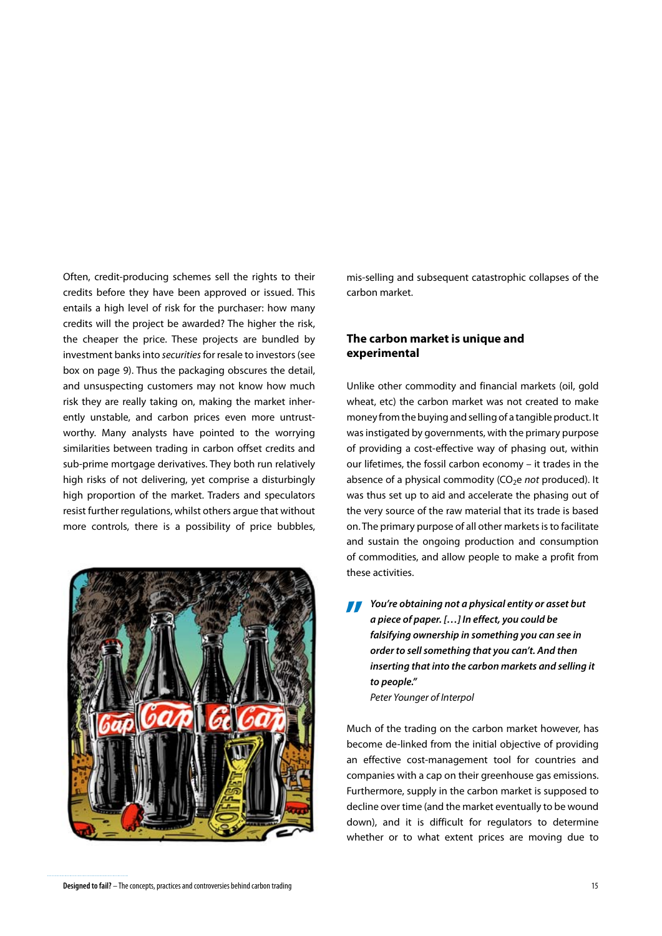Often, credit-producing schemes sell the rights to their credits before they have been approved or issued. This entails a high level of risk for the purchaser: how many credits will the project be awarded? The higher the risk, the cheaper the price. These projects are bundled by investment banks into *securities* for resale to investors (see box on page 9). Thus the packaging obscures the detail, and unsuspecting customers may not know how much risk they are really taking on, making the market inherently unstable, and carbon prices even more untrustworthy. Many analysts have pointed to the worrying similarities between trading in carbon offset credits and sub-prime mortgage derivatives. They both run relatively high risks of not delivering, yet comprise a disturbingly high proportion of the market. Traders and speculators resist further regulations, whilst others argue that without more controls, there is a possibility of price bubbles,



mis-selling and subsequent catastrophic collapses of the carbon market.

## **The carbon market is unique and experimental**

Unlike other commodity and financial markets (oil, gold wheat, etc) the carbon market was not created to make money from the buying and selling of a tangible product. It was instigated by governments, with the primary purpose of providing a cost-effective way of phasing out, within our lifetimes, the fossil carbon economy – it trades in the absence of a physical commodity (CO<sub>2</sub>e *not* produced). It was thus set up to aid and accelerate the phasing out of the very source of the raw material that its trade is based on. The primary purpose of all other markets is to facilitate and sustain the ongoing production and consumption of commodities, and allow people to make a profit from these activities.

*You're obtaining not a physical entity or asset but <br>
<i>a piece of paper.* [...] In effect, you could be<br> *falsifying ownership in something you can see in a piece of paper. […] In effect, you could be falsifying ownership in something you can see in order to sell something that you can't. And then inserting that into the carbon markets and selling it to people." Peter Younger of Interpol*

Much of the trading on the carbon market however, has become de-linked from the initial objective of providing an effective cost-management tool for countries and companies with a cap on their greenhouse gas emissions. Furthermore, supply in the carbon market is supposed to decline over time (and the market eventually to be wound down), and it is difficult for regulators to determine whether or to what extent prices are moving due to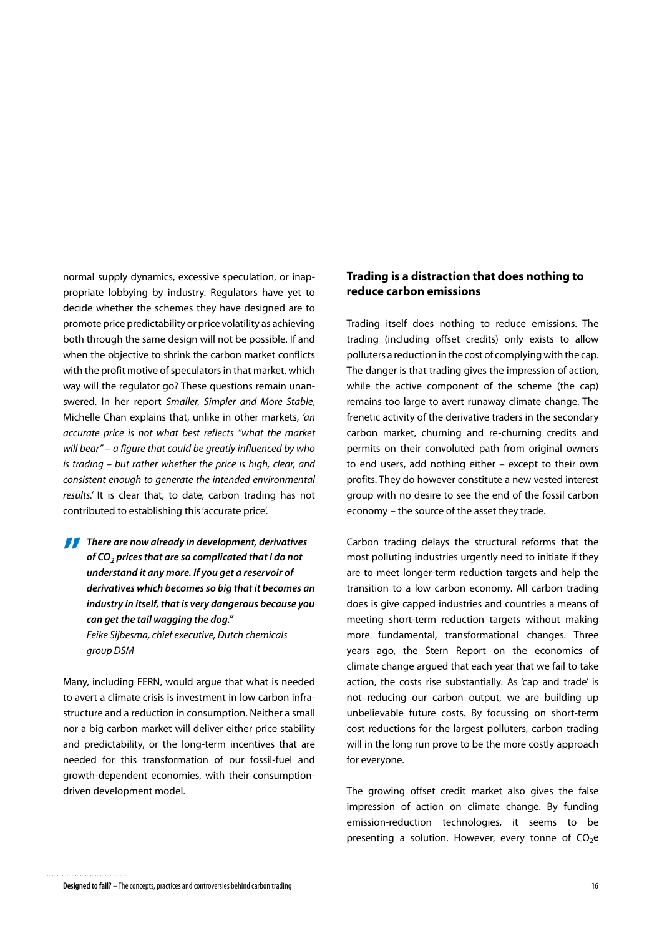normal supply dynamics, excessive speculation, or inappropriate lobbying by industry. Regulators have yet to decide whether the schemes they have designed are to promote price predictability or price volatility as achieving both through the same design will not be possible. If and when the objective to shrink the carbon market conflicts with the profit motive of speculators in that market, which way will the regulator go? These questions remain unanswered. In her report *Smaller, Simpler and More Stable*, Michelle Chan explains that, unlike in other markets, *'an accurate price is not what best reflects "what the market will bear" – a figure that could be greatly influenced by who is trading – but rather whether the price is high, clear, and consistent enough to generate the intended environmental results.'* It is clear that, to date, carbon trading has not contributed to establishing this 'accurate price'.

**There are now already in development, derivatives<br>of**  $CO<sub>2</sub>$  **prices that are so complicated that I do not<br>understand it any more If you get a reservoir of** of CO<sub>2</sub> prices that are so complicated that I do not *understand it any more. If you get a reservoir of derivatives which becomes so big that it becomes an industry in itself, that is very dangerous because you can get the tail wagging the dog." Feike Sijbesma, chief executive, Dutch chemicals group DSM*

Many, including FERN, would argue that what is needed to avert a climate crisis is investment in low carbon infrastructure and a reduction in consumption. Neither a small nor a big carbon market will deliver either price stability and predictability, or the long-term incentives that are needed for this transformation of our fossil-fuel and growth-dependent economies, with their consumptiondriven development model.

## **Trading is a distraction that does nothing to reduce carbon emissions**

Trading itself does nothing to reduce emissions. The trading (including offset credits) only exists to allow polluters a reduction in the cost of complying with the cap. The danger is that trading gives the impression of action, while the active component of the scheme (the cap) remains too large to avert runaway climate change. The frenetic activity of the derivative traders in the secondary carbon market, churning and re-churning credits and permits on their convoluted path from original owners to end users, add nothing either – except to their own profits. They do however constitute a new vested interest group with no desire to see the end of the fossil carbon economy – the source of the asset they trade.

Carbon trading delays the structural reforms that the most polluting industries urgently need to initiate if they are to meet longer-term reduction targets and help the transition to a low carbon economy. All carbon trading does is give capped industries and countries a means of meeting short-term reduction targets without making more fundamental, transformational changes. Three years ago, the Stern Report on the economics of climate change argued that each year that we fail to take action, the costs rise substantially. As 'cap and trade' is not reducing our carbon output, we are building up unbelievable future costs. By focussing on short-term cost reductions for the largest polluters, carbon trading will in the long run prove to be the more costly approach for everyone.

The growing offset credit market also gives the false impression of action on climate change. By funding emission-reduction technologies, it seems to be presenting a solution. However, every tonne of  $CO<sub>2</sub>e$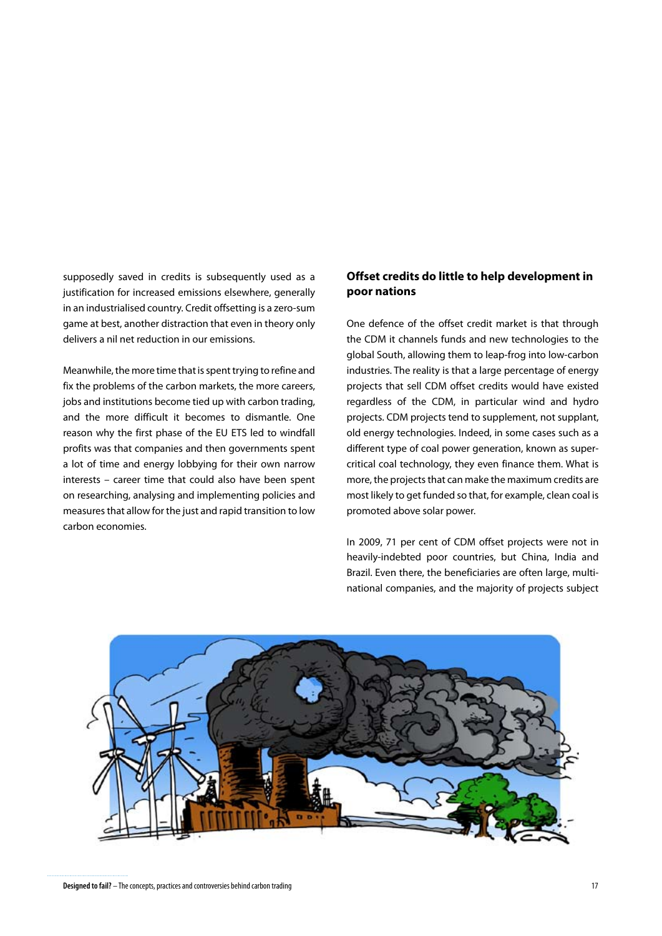supposedly saved in credits is subsequently used as a justification for increased emissions elsewhere, generally in an industrialised country. Credit offsetting is a zero-sum game at best, another distraction that even in theory only delivers a nil net reduction in our emissions.

Meanwhile, the more time that is spent trying to refine and fix the problems of the carbon markets, the more careers, jobs and institutions become tied up with carbon trading, and the more difficult it becomes to dismantle. One reason why the first phase of the EU ETS led to windfall profits was that companies and then governments spent a lot of time and energy lobbying for their own narrow interests – career time that could also have been spent on researching, analysing and implementing policies and measures that allow for the just and rapid transition to low carbon economies.

## **Offset credits do little to help development in poor nations**

One defence of the offset credit market is that through the CDM it channels funds and new technologies to the global South, allowing them to leap-frog into low-carbon industries. The reality is that a large percentage of energy projects that sell CDM offset credits would have existed regardless of the CDM, in particular wind and hydro projects. CDM projects tend to supplement, not supplant, old energy technologies. Indeed, in some cases such as a different type of coal power generation, known as supercritical coal technology, they even finance them. What is more, the projects that can make the maximum credits are most likely to get funded so that, for example, clean coal is promoted above solar power.

In 2009, 71 per cent of CDM offset projects were not in heavily-indebted poor countries, but China, India and Brazil. Even there, the beneficiaries are often large, multinational companies, and the majority of projects subject



**Designed to fail?** – The concepts, practices and controversies behind carbon trading 17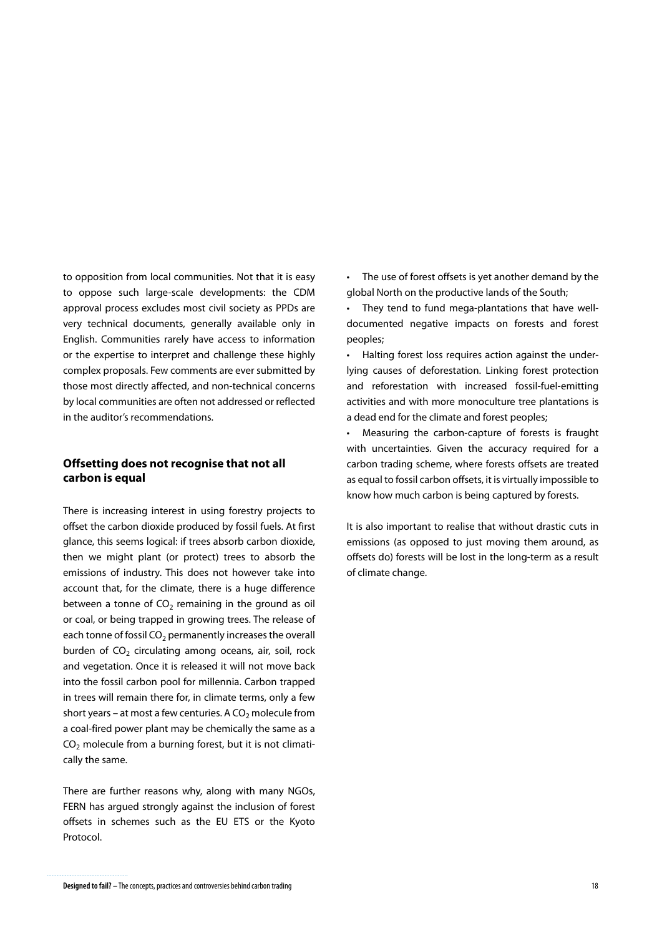to opposition from local communities. Not that it is easy to oppose such large-scale developments: the CDM approval process excludes most civil society as PPDs are very technical documents, generally available only in English. Communities rarely have access to information or the expertise to interpret and challenge these highly complex proposals. Few comments are ever submitted by those most directly affected, and non-technical concerns by local communities are often not addressed or reflected in the auditor's recommendations.

## **Offsetting does not recognise that not all carbon is equal**

There is increasing interest in using forestry projects to offset the carbon dioxide produced by fossil fuels. At first glance, this seems logical: if trees absorb carbon dioxide, then we might plant (or protect) trees to absorb the emissions of industry. This does not however take into account that, for the climate, there is a huge difference between a tonne of  $CO<sub>2</sub>$  remaining in the ground as oil or coal, or being trapped in growing trees. The release of each tonne of fossil  $CO<sub>2</sub>$  permanently increases the overall burden of  $CO<sub>2</sub>$  circulating among oceans, air, soil, rock and vegetation. Once it is released it will not move back into the fossil carbon pool for millennia. Carbon trapped in trees will remain there for, in climate terms, only a few short years – at most a few centuries. A  $CO<sub>2</sub>$  molecule from a coal-fired power plant may be chemically the same as a  $CO<sub>2</sub>$  molecule from a burning forest, but it is not climatically the same.

There are further reasons why, along with many NGOs, FERN has argued strongly against the inclusion of forest offsets in schemes such as the EU ETS or the Kyoto Protocol.

• The use of forest offsets is yet another demand by the global North on the productive lands of the South;

• They tend to fund mega-plantations that have welldocumented negative impacts on forests and forest peoples;

• Halting forest loss requires action against the underlying causes of deforestation. Linking forest protection and reforestation with increased fossil-fuel-emitting activities and with more monoculture tree plantations is a dead end for the climate and forest peoples;

• Measuring the carbon-capture of forests is fraught with uncertainties. Given the accuracy required for a carbon trading scheme, where forests offsets are treated as equal to fossil carbon offsets, it is virtually impossible to know how much carbon is being captured by forests.

It is also important to realise that without drastic cuts in emissions (as opposed to just moving them around, as offsets do) forests will be lost in the long-term as a result of climate change.

**Designed to fail?** – The concepts, practices and controversies behind carbon trading 18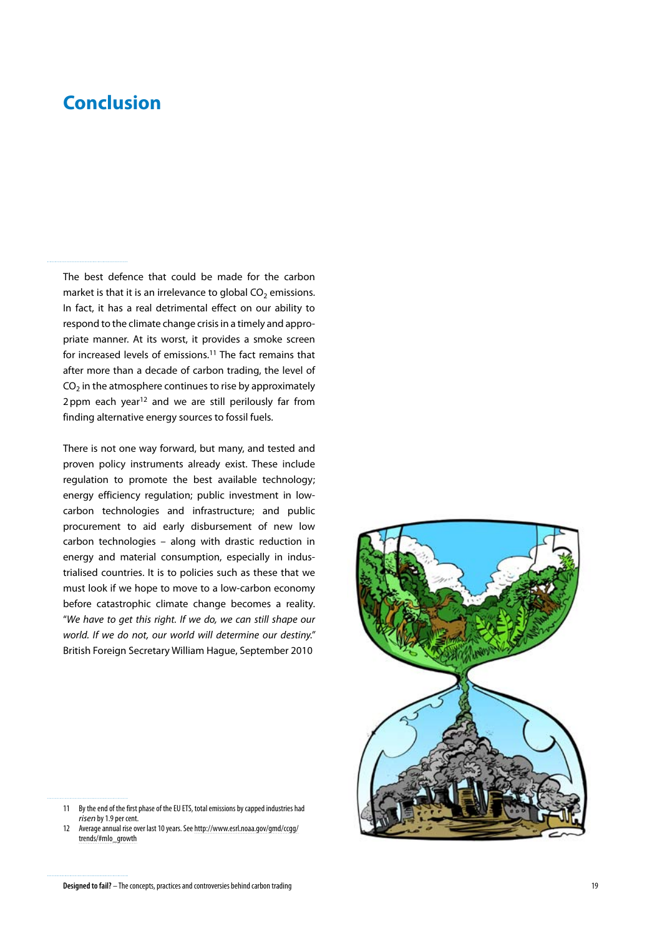# <span id="page-18-0"></span>**Conclusion**

The best defence that could be made for the carbon market is that it is an irrelevance to global  $CO<sub>2</sub>$  emissions. In fact, it has a real detrimental effect on our ability to respond to the climate change crisis in a timely and appropriate manner. At its worst, it provides a smoke screen for increased levels of emissions.11 The fact remains that after more than a decade of carbon trading, the level of  $CO<sub>2</sub>$  in the atmosphere continues to rise by approximately 2ppm each year<sup>12</sup> and we are still perilously far from finding alternative energy sources to fossil fuels.

There is not one way forward, but many, and tested and proven policy instruments already exist. These include regulation to promote the best available technology; energy efficiency regulation; public investment in lowcarbon technologies and infrastructure; and public procurement to aid early disbursement of new low carbon technologies – along with drastic reduction in energy and material consumption, especially in industrialised countries. It is to policies such as these that we must look if we hope to move to a low-carbon economy before catastrophic climate change becomes a reality. "*We have to get this right. If we do, we can still shape our world. If we do not, our world will determine our destiny."*  British Foreign Secretary William Hague, September 2010

<sup>12</sup> Average annual rise over last 10 years. See [http://www.esrl.noaa.gov/gmd/ccgg/](http://www.esrl.noaa.gov/gmd/ccgg/trends/#mlo_growth) [trends/#mlo\\_growth](http://www.esrl.noaa.gov/gmd/ccgg/trends/#mlo_growth)



<sup>11</sup> By the end of the first phase of the EU ETS, total emissions by capped industries had *risen* by 1.9 per cent.